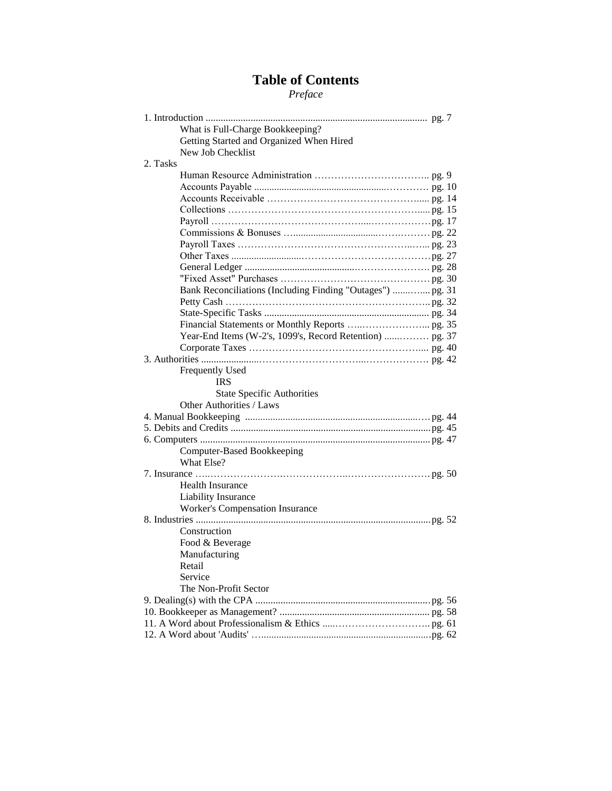## **Table of Contents**

*Preface*

| What is Full-Charge Bookkeeping?                           |  |  |
|------------------------------------------------------------|--|--|
| Getting Started and Organized When Hired                   |  |  |
| New Job Checklist                                          |  |  |
| 2. Tasks                                                   |  |  |
|                                                            |  |  |
|                                                            |  |  |
|                                                            |  |  |
|                                                            |  |  |
|                                                            |  |  |
|                                                            |  |  |
|                                                            |  |  |
|                                                            |  |  |
|                                                            |  |  |
|                                                            |  |  |
| Bank Reconciliations (Including Finding "Outages")  pg. 31 |  |  |
|                                                            |  |  |
|                                                            |  |  |
|                                                            |  |  |
|                                                            |  |  |
|                                                            |  |  |
|                                                            |  |  |
| Frequently Used                                            |  |  |
| <b>IRS</b>                                                 |  |  |
| <b>State Specific Authorities</b>                          |  |  |
| Other Authorities / Laws                                   |  |  |
|                                                            |  |  |
|                                                            |  |  |
|                                                            |  |  |
| <b>Computer-Based Bookkeeping</b>                          |  |  |
| What Else?                                                 |  |  |
|                                                            |  |  |
| Health Insurance                                           |  |  |
| Liability Insurance                                        |  |  |
| <b>Worker's Compensation Insurance</b>                     |  |  |
|                                                            |  |  |
| Construction                                               |  |  |
| Food & Beverage                                            |  |  |
| Manufacturing                                              |  |  |
| Retail                                                     |  |  |
| Service                                                    |  |  |
| The Non-Profit Sector                                      |  |  |
|                                                            |  |  |
|                                                            |  |  |
|                                                            |  |  |
|                                                            |  |  |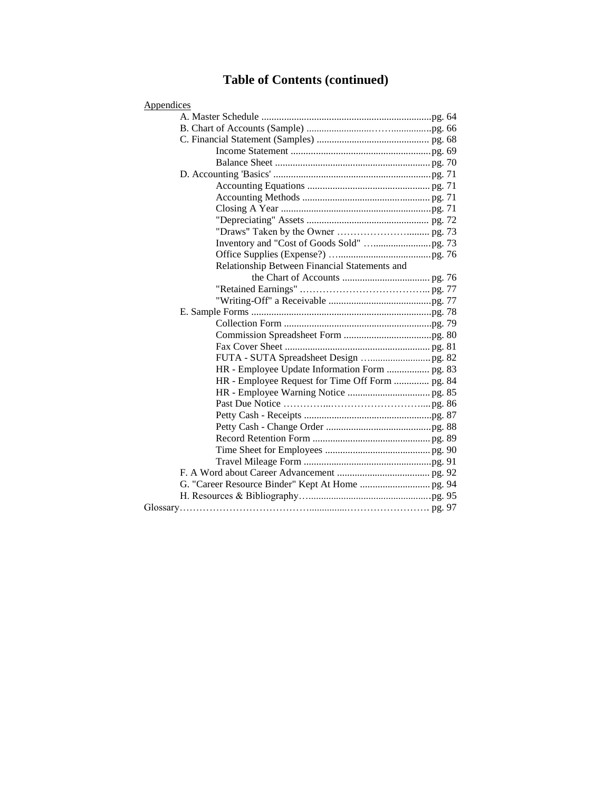# **Table of Contents (continued)**

| Appendices |                                                 |  |
|------------|-------------------------------------------------|--|
|            |                                                 |  |
|            |                                                 |  |
|            |                                                 |  |
|            |                                                 |  |
|            |                                                 |  |
|            |                                                 |  |
|            |                                                 |  |
|            |                                                 |  |
|            |                                                 |  |
|            |                                                 |  |
|            |                                                 |  |
|            |                                                 |  |
|            |                                                 |  |
|            | Relationship Between Financial Statements and   |  |
|            |                                                 |  |
|            |                                                 |  |
|            |                                                 |  |
|            |                                                 |  |
|            |                                                 |  |
|            |                                                 |  |
|            |                                                 |  |
|            |                                                 |  |
|            |                                                 |  |
|            | HR - Employee Request for Time Off Form  pg. 84 |  |
|            |                                                 |  |
|            |                                                 |  |
|            |                                                 |  |
|            |                                                 |  |
|            |                                                 |  |
|            |                                                 |  |
|            |                                                 |  |
|            |                                                 |  |
|            |                                                 |  |
|            |                                                 |  |
|            |                                                 |  |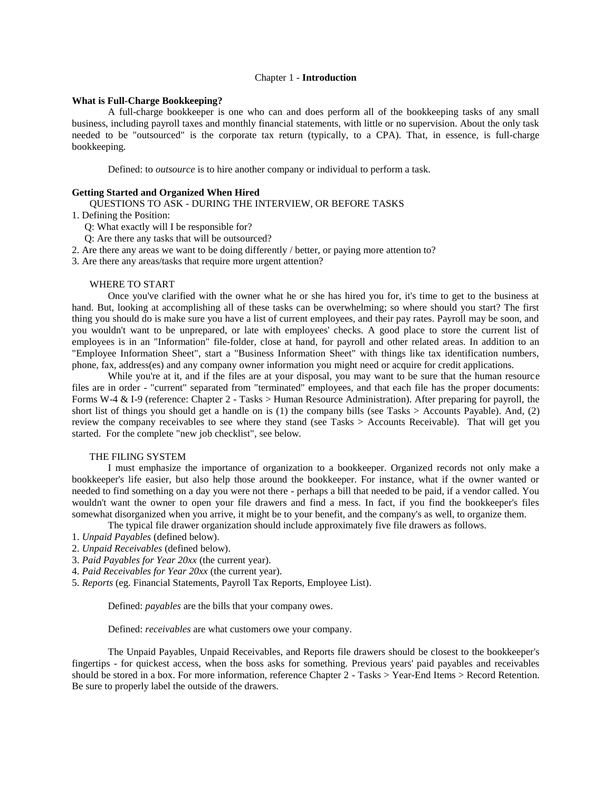## Chapter 1 - **Introduction**

### **What is Full-Charge Bookkeeping?**

A full-charge bookkeeper is one who can and does perform all of the bookkeeping tasks of any small business, including payroll taxes and monthly financial statements, with little or no supervision. About the only task needed to be "outsourced" is the corporate tax return (typically, to a CPA). That, in essence, is full-charge bookkeeping.

Defined: to *outsource* is to hire another company or individual to perform a task.

## **Getting Started and Organized When Hired**

QUESTIONS TO ASK - DURING THE INTERVIEW, OR BEFORE TASKS

- 1. Defining the Position:
	- Q: What exactly will I be responsible for?
	- Q: Are there any tasks that will be outsourced?
- 2. Are there any areas we want to be doing differently / better, or paying more attention to?
- 3. Are there any areas/tasks that require more urgent attention?

#### WHERE TO START

Once you've clarified with the owner what he or she has hired you for, it's time to get to the business at hand. But, looking at accomplishing all of these tasks can be overwhelming; so where should you start? The first thing you should do is make sure you have a list of current employees, and their pay rates. Payroll may be soon, and you wouldn't want to be unprepared, or late with employees' checks. A good place to store the current list of employees is in an "Information" file-folder, close at hand, for payroll and other related areas. In addition to an "Employee Information Sheet", start a "Business Information Sheet" with things like tax identification numbers, phone, fax, address(es) and any company owner information you might need or acquire for credit applications.

While you're at it, and if the files are at your disposal, you may want to be sure that the human resource files are in order - "current" separated from "terminated" employees, and that each file has the proper documents: Forms W-4 & I-9 (reference: Chapter 2 - Tasks > Human Resource Administration). After preparing for payroll, the short list of things you should get a handle on is  $(1)$  the company bills (see Tasks > Accounts Payable). And,  $(2)$ review the company receivables to see where they stand (see Tasks > Accounts Receivable). That will get you started. For the complete "new job checklist", see below.

## THE FILING SYSTEM

I must emphasize the importance of organization to a bookkeeper. Organized records not only make a bookkeeper's life easier, but also help those around the bookkeeper. For instance, what if the owner wanted or needed to find something on a day you were not there - perhaps a bill that needed to be paid, if a vendor called. You wouldn't want the owner to open your file drawers and find a mess. In fact, if you find the bookkeeper's files somewhat disorganized when you arrive, it might be to your benefit, and the company's as well, to organize them.

The typical file drawer organization should include approximately five file drawers as follows.

- 1. *Unpaid Payables* (defined below).
- 2. *Unpaid Receivables* (defined below).
- 3. *Paid Payables for Year 20xx* (the current year).
- 4. *Paid Receivables for Year 20xx* (the current year).
- 5. *Reports* (eg. Financial Statements, Payroll Tax Reports, Employee List).

Defined: *payables* are the bills that your company owes.

Defined: *receivables* are what customers owe your company.

The Unpaid Payables, Unpaid Receivables, and Reports file drawers should be closest to the bookkeeper's fingertips - for quickest access, when the boss asks for something. Previous years' paid payables and receivables should be stored in a box. For more information, reference Chapter 2 - Tasks > Year-End Items > Record Retention. Be sure to properly label the outside of the drawers.